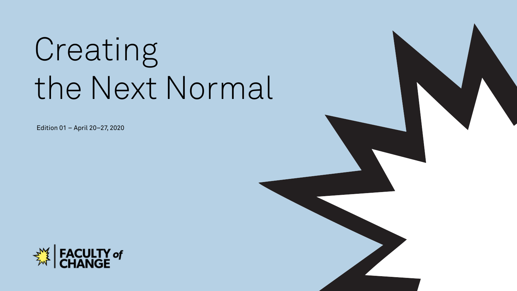# Creating the Next Normal

Edition 01 – April 20–27, 2020



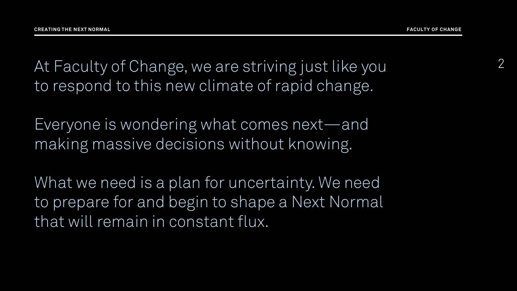At Faculty of Change, we are striving just like you to respond to this new climate of rapid change.

Everyone is wondering what comes next—and making massive decisions without knowing.

What we need is a plan for uncertainty. We need to prepare for and begin to shape a Next Normal that will remain in constant flux.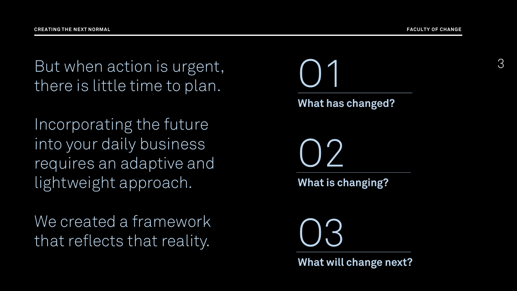3

But when action is urgent, there is little time to plan.

Incorporating the future into your daily business requires an adaptive and lightweight approach.

We created a framework that reflects that reality.

**What has changed?** O1 **What is changing?** O2 **What will change next?** O3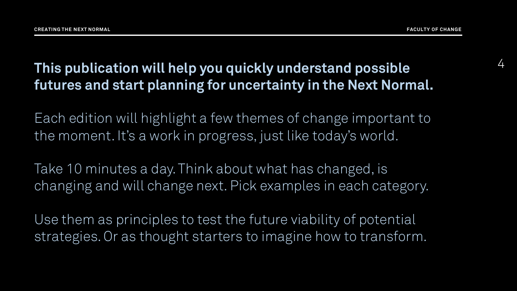#### 4 **This publication will help you quickly understand possible futures and start planning for uncertainty in the Next Normal.**

Each edition will highlight a few themes of change important to the moment. It's a work in progress, just like today's world.

Take 10 minutes a day. Think about what has changed, is changing and will change next. Pick examples in each category.

Use them as principles to test the future viability of potential strategies. Or as thought starters to imagine how to transform.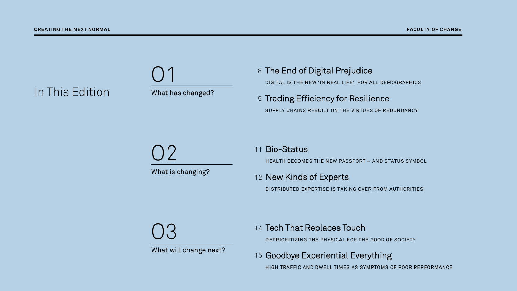



- 8 The End of Digital Prejudice DIGITAL IS THE NEW 'IN REAL LIFE', FOR ALL DEMOGRAPHICS
- 9 Trading Efficiency for Resilience SUPPLY CHAINS REBUILT ON THE VIRTUES OF REDUNDANCY

What is changing? O2

#### Bio-Status 11

HEALTH BECOMES THE NEW PASSPORT – AND STATUS SYMBOL

#### 12 New Kinds of Experts

DISTRIBUTED EXPERTISE IS TAKING OVER FROM AUTHORITIES

O3

What will change next?

#### 14 Tech That Replaces Touch

DEPRIORITIZING THE PHYSICAL FOR THE GOOD OF SOCIETY

#### 15 Goodbye Experiential Everything

HIGH TRAFFIC AND DWELL TIMES AS SYMPTOMS OF POOR PERFORMANCE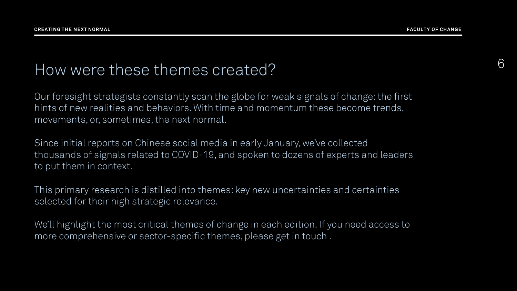# <sup>6</sup> How were these themes created?

Our foresight strategists constantly scan the globe for weak signals of change: the first hints of new realities and behaviors. With time and momentum these become trends, movements, or, sometimes, the next normal.

Since initial reports on Chinese social media in early January, we've collected thousands of signals related to COVID-19, and spoken to dozens of experts and leaders to put them in context.

This primary research is distilled into themes: key new uncertainties and certainties selected for their high strategic relevance.

We'll highlight the most critical themes of change in each edition. If you need access to more comprehensive or sector-specific themes, please get in touch .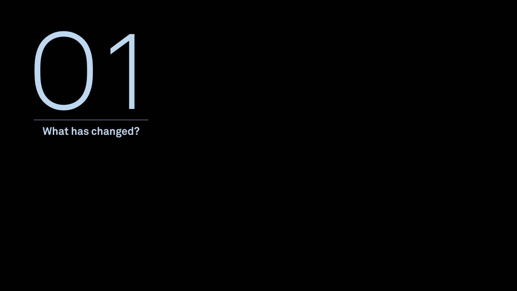

**What has changed?**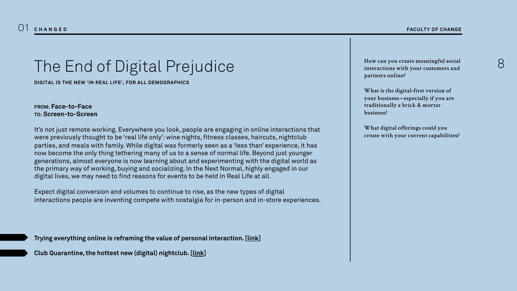### The End of Digital Prejudice

**DIGITAL IS THE NEW 'IN REAL LIFE', FOR ALL DEMOGRAPHICS**

**FROM: Face-to-Face TO: Screen-to-Screen**

It's not just remote working. Everywhere you look, people are engaging in online interactions that were previously thought to be 'real life only': wine nights, fitness classes, haircuts, nightclub parties, and meals with family. While digital was formerly seen as a 'less than' experience, it has now become the only thing tethering many of us to a sense of normal life. Beyond just younger generations, almost everyone is now learning about and experimenting with the digital world as the primary way of working, buying and socializing. In the Next Normal, highly engaged in our digital lives, we may need to find reasons for events to be held In Real Life at all.

Expect digital conversion and volumes to continue to rise, as the new types of digital interactions people are inventing compete with nostalgia for in-person and in-store experiences.

**Trying everything online is reframing the value of personal interaction. [[link\]](https://www.ben-evans.com/benedictevans/2020/4/13/covid-and-forced-experiments)**

**Club Quarantine, the hottest new (digital) nightclub. [[link\]](https://www.instagram.com/clubquarantine/)**

**How can you create meaningful social interactions with your customers and partners online?**

**What is the digital-first version of your business—especially if you are traditionally a brick & mortar business?**

**What digital offerings could you create with your current capabilities?**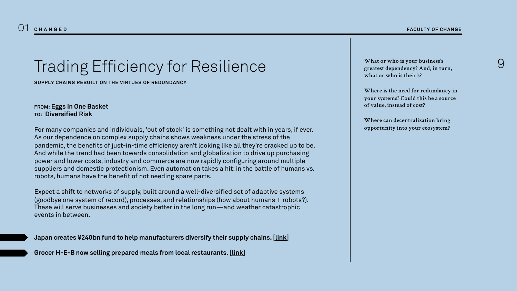# Trading Efficiency for Resilience

**SUPPLY CHAINS REBUILT ON THE VIRTUES OF REDUNDANCY**

**FROM: Eggs in One Basket TO: Diversified Risk**

For many companies and individuals, 'out of stock' is something not dealt with in years, if ever. As our dependence on complex supply chains shows weakness under the stress of the pandemic, the benefits of just-in-time efficiency aren't looking like all they're cracked up to be. And while the trend had been towards consolidation and globalization to drive up purchasing power and lower costs, industry and commerce are now rapidly configuring around multiple suppliers and domestic protectionism. Even automation takes a hit: in the battle of humans vs. robots, humans have the benefit of not needing spare parts.

Expect a shift to networks of supply, built around a well-diversified set of adaptive systems (goodbye one system of record), processes, and relationships (how about humans + robots?). These will serve businesses and society better in the long run—and weather catastrophic events in between.

**Japan creates ¥240bn fund to help manufacturers diversify their supply chains. [\[link\]](https://monocle.com/minute/2020/04/09/)**

**Grocer H-E-B now selling prepared meals from local restaurants. [[link\]](https://www.supermarketnews.com/prepared-foods/h-e-b-sells-meals-local-restaurants-amid-covid-19-pandemic)**

**What or who is your business's greatest dependency? And, in turn, what or who is their's?** 

**Where is the need for redundancy in your systems? Could this be a source of value, instead of cost?**

**Where can decentralization bring opportunity into your ecosystem?**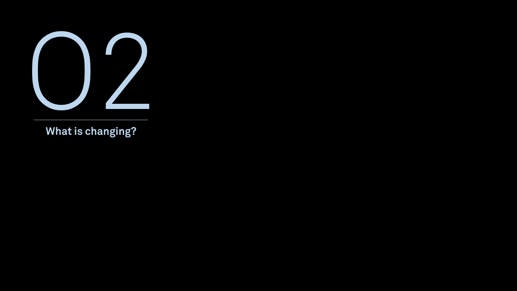

**What is changing?**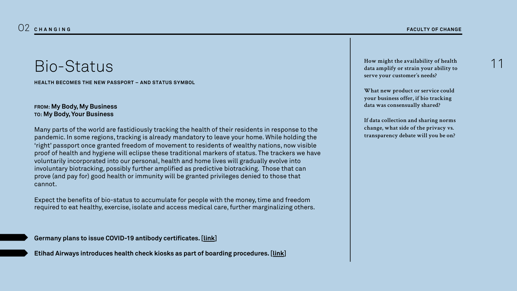#### Bio-Status

**HEALTH BECOMES THE NEW PASSPORT – AND STATUS SYMBOL**

#### **FROM: My Body, My Business TO: My Body, Your Business**

Many parts of the world are fastidiously tracking the health of their residents in response to the pandemic. In some regions, tracking is already mandatory to leave your home. While holding the 'right' passport once granted freedom of movement to residents of wealthy nations, now visible proof of health and hygiene will eclipse these traditional markers of status. The trackers we have voluntarily incorporated into our personal, health and home lives will gradually evolve into involuntary biotracking, possibly further amplified as predictive biotracking. Those that can prove (and pay for) good health or immunity will be granted privileges denied to those that cannot.

Expect the benefits of bio-status to accumulate for people with the money, time and freedom required to eat healthy, exercise, isolate and access medical care, further marginalizing others.

**Germany plans to issue COVID-19 antibody certificates. [[link\]](https://www.ft.com/content/fe211ec7-0ed4-4d36-9d83-14b639efb3ad)**

**Etihad Airways introduces health check kiosks as part of boarding procedures. [\[link\]](https://robbreport.com/travel/destinations/etihad-airways-is-testing-scanners-that-can-detect-if-youre-sick-2911575/)**

**How might the availability of health data amplify or strain your ability to serve your customer's needs?**

**What new product or service could your business offer, if bio tracking data was consensually shared?**

**If data collection and sharing norms change, what side of the privacy vs. transparency debate will you be on?**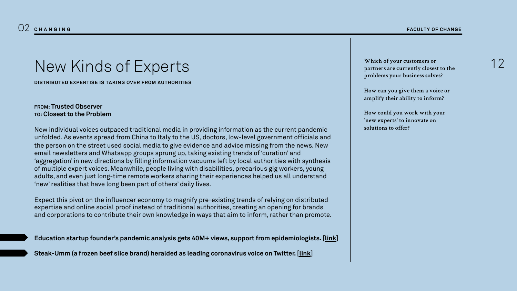# New Kinds of Experts

**DISTRIBUTED EXPERTISE IS TAKING OVER FROM AUTHORITIES**

#### **FROM: Trusted Observer TO: Closest to the Problem**

New individual voices outpaced traditional media in providing information as the current pandemic unfolded. As events spread from China to Italy to the US, doctors, low-level government officials and the person on the street used social media to give evidence and advice missing from the news. New email newsletters and Whatsapp groups sprung up, taking existing trends of 'curation' and 'aggregation' in new directions by filling information vacuums left by local authorities with synthesis of multiple expert voices. Meanwhile, people living with disabilities, precarious gig workers, young adults, and even just long-time remote workers sharing their experiences helped us all understand 'new' realities that have long been part of others' daily lives.

Expect this pivot on the influencer economy to magnify pre-existing trends of relying on distributed expertise and online social proof instead of traditional authorities, creating an opening for brands and corporations to contribute their own knowledge in ways that aim to inform, rather than promote.

| Education startup founder's pandemic analysis gets 40M+ views, support from epidemiologists. [link] |  |
|-----------------------------------------------------------------------------------------------------|--|
| Steak-Umm (a frozen beef slice brand) heralded as leading coronavirus voice on Twitter. [link]      |  |

**Which of your customers or partners are currently closest to the problems your business solves?**

**How can you give them a voice or amplify their ability to inform?**

**How could you work with your 'new experts' to innovate on solutions to offer?**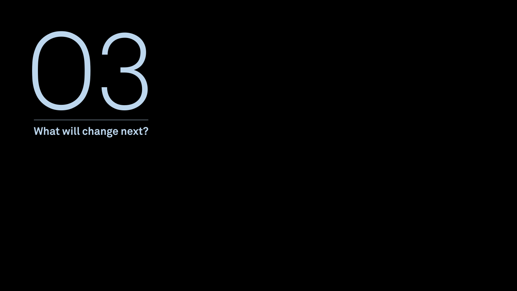

**What will change next?**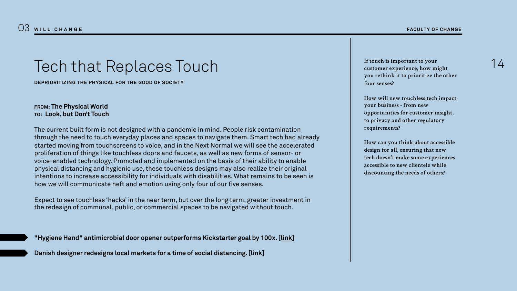#### Tech that Replaces Touch

**DEPRIORITIZING THE PHYSICAL FOR THE GOOD OF SOCIETY**

#### **FROM: The Physical World TO: Look, but Don't Touch**

The current built form is not designed with a pandemic in mind. People risk contamination through the need to touch everyday places and spaces to navigate them. Smart tech had already started moving from touchscreens to voice, and in the Next Normal we will see the accelerated proliferation of things like touchless doors and faucets, as well as new forms of sensor- or voice-enabled technology. Promoted and implemented on the basis of their ability to enable physical distancing and hygienic use, these touchless designs may also realize their original intentions to increase accessibility for individuals with disabilities. What remains to be seen is how we will communicate heft and emotion using only four of our five senses.

Expect to see touchless 'hacks' in the near term, but over the long term, greater investment in the redesign of communal, public, or commercial spaces to be navigated without touch.

**"Hygiene Hand" antimicrobial door opener outperforms Kickstarter goal by 100x. [[link\]](https://www.kickstarter.com/projects/34951038/hygiene-hand-antimicrobial-brass-edc-door-opener-and-stylus)**

**Danish designer redesigns local markets for a time of social distancing. [[link\]](https://www.dezeen.com/2020/04/03/shift-architecture-urbanism-designs-social-distancing-into-the-food-market/)**

**If touch is important to your customer experience, how might you rethink it to prioritize the other four senses?**

**How will new touchless tech impact your business - from new opportunities for customer insight, to privacy and other regulatory requirements?**

**How can you think about accessible design for all, ensuring that new tech doesn't make some experiences accessible to new clientele while discounting the needs of others?**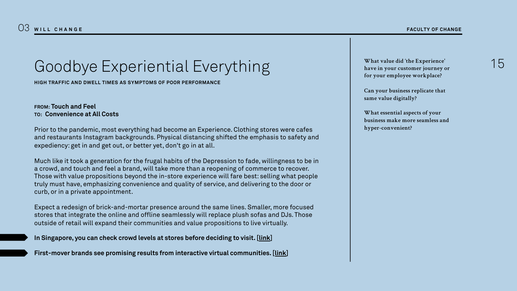# Goodbye Experiential Everything

**HIGH TRAFFIC AND DWELL TIMES AS SYMPTOMS OF POOR PERFORMANCE**

#### **FROM: Touch and Feel TO: Convenience at All Costs**

Prior to the pandemic, most everything had become an Experience. Clothing stores were cafes and restaurants Instagram backgrounds. Physical distancing shifted the emphasis to safety and expediency: get in and get out, or better yet, don't go in at all.

Much like it took a generation for the frugal habits of the Depression to fade, willingness to be in a crowd, and touch and feel a brand, will take more than a reopening of commerce to recover. Those with value propositions beyond the in-store experience will fare best: selling what people truly must have, emphasizing convenience and quality of service, and delivering to the door or curb, or in a private appointment.

Expect a redesign of brick-and-mortar presence around the same lines. Smaller, more focused stores that integrate the online and offline seamlessly will replace plush sofas and DJs. Those outside of retail will expand their communities and value propositions to live virtually.

**In Singapore, you can check crowd levels at stores before deciding to visit. [\[link\]](https://www.straitstimes.com/singapore/ura-launches-website-to-help-shoppers-check-crowd-levels-at-malls)**

**First-mover brands see promising results from interactive virtual communities. [\[link\]](https://www.marketingdive.com/news/brands-build-community-online-quarantine/575340/)**

**What value did 'the Experience' have in your customer journey or for your employee workplace?**

**Can your business replicate that same value digitally?**

**What essential aspects of your business make more seamless and hyper-convenient?**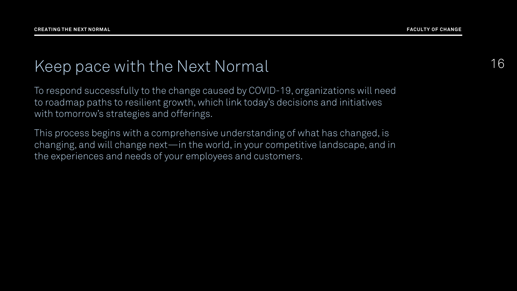### Keep pace with the Next Normal 16

To respond successfully to the change caused by COVID-19, organizations will need to roadmap paths to resilient growth, which link today's decisions and initiatives with tomorrow's strategies and offerings.

This process begins with a comprehensive understanding of what has changed, is changing, and will change next—in the world, in your competitive landscape, and in the experiences and needs of your employees and customers.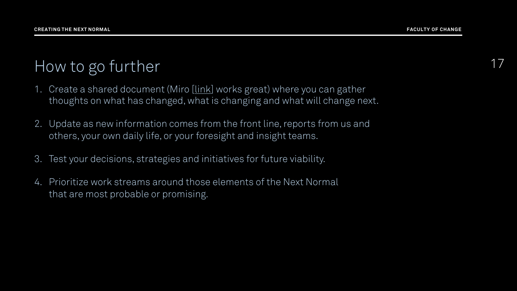# How to go further 17

- 1. Create a shared document (Miro [\[link\]](http://www.miro.com/) works great) where you can gather thoughts on what has changed, what is changing and what will change next.
- 2. Update as new information comes from the front line, reports from us and others, your own daily life, or your foresight and insight teams.
- 3. Test your decisions, strategies and initiatives for future viability.
- 4. Prioritize work streams around those elements of the Next Normal that are most probable or promising.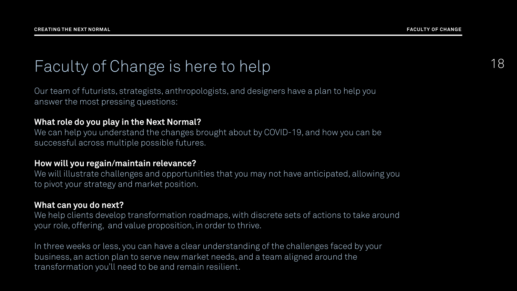# Faculty of Change is here to help 18

Our team of futurists, strategists, anthropologists, and designers have a plan to help you answer the most pressing questions:

#### **What role do you play in the Next Normal?**

We can help you understand the changes brought about by COVID-19, and how you can be successful across multiple possible futures.

#### **How will you regain/maintain relevance?**

We will illustrate challenges and opportunities that you may not have anticipated, allowing you to pivot your strategy and market position.

#### **What can you do next?**

We help clients develop transformation roadmaps, with discrete sets of actions to take around your role, offering, and value proposition, in order to thrive.

In three weeks or less, you can have a clear understanding of the challenges faced by your business, an action plan to serve new market needs, and a team aligned around the transformation you'll need to be and remain resilient.